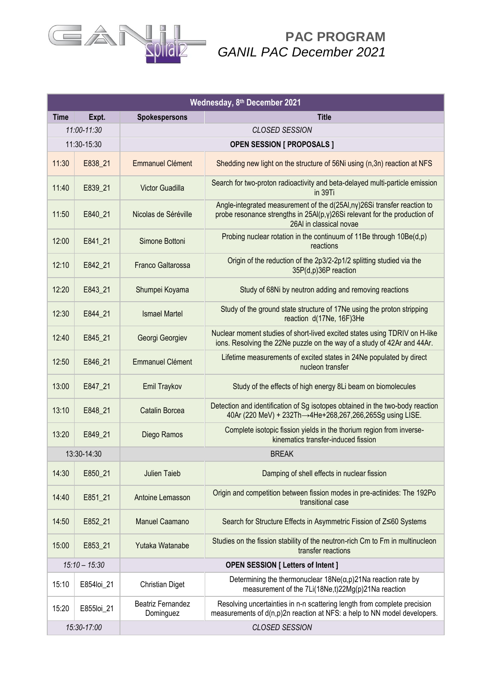

## **PAC PROGRAM** *GANIL PAC December 2021*

| Wednesday, 8th December 2021 |            |                                           |                                                                                                                                                                                 |
|------------------------------|------------|-------------------------------------------|---------------------------------------------------------------------------------------------------------------------------------------------------------------------------------|
| <b>Time</b>                  | Expt.      | <b>Spokespersons</b>                      | <b>Title</b>                                                                                                                                                                    |
| 11:00-11:30                  |            |                                           | <b>CLOSED SESSION</b>                                                                                                                                                           |
| 11:30-15:30                  |            | <b>OPEN SESSION [ PROPOSALS ]</b>         |                                                                                                                                                                                 |
| 11:30                        | E838 21    | <b>Emmanuel Clément</b>                   | Shedding new light on the structure of 56Ni using (n,3n) reaction at NFS                                                                                                        |
| 11:40                        | E839 21    | <b>Victor Guadilla</b>                    | Search for two-proton radioactivity and beta-delayed multi-particle emission<br>in 39Ti                                                                                         |
| 11:50                        | E840 21    | Nicolas de Séréville                      | Angle-integrated measurement of the d(25Al,ny)26Si transfer reaction to<br>probe resonance strengths in 25Al(p,y)26Si relevant for the production of<br>26AI in classical novae |
| 12:00                        | E841_21    | Simone Bottoni                            | Probing nuclear rotation in the continuum of 11Be through 10Be(d,p)<br>reactions                                                                                                |
| 12:10                        | E842 21    | Franco Galtarossa                         | Origin of the reduction of the 2p3/2-2p1/2 splitting studied via the<br>35P(d,p)36P reaction                                                                                    |
| 12:20                        | E843 21    | Shumpei Koyama                            | Study of 68Ni by neutron adding and removing reactions                                                                                                                          |
| 12:30                        | E844_21    | <b>Ismael Martel</b>                      | Study of the ground state structure of 17Ne using the proton stripping<br>reaction d(17Ne, 16F)3He                                                                              |
| 12:40                        | E845 21    | Georgi Georgiev                           | Nuclear moment studies of short-lived excited states using TDRIV on H-like<br>ions. Resolving the 22Ne puzzle on the way of a study of 42Ar and 44Ar.                           |
| 12:50                        | E846 21    | <b>Emmanuel Clément</b>                   | Lifetime measurements of excited states in 24Ne populated by direct<br>nucleon transfer                                                                                         |
| 13:00                        | E847 21    | Emil Traykov                              | Study of the effects of high energy 8Li beam on biomolecules                                                                                                                    |
| 13:10                        | E848 21    | <b>Catalin Borcea</b>                     | Detection and identification of Sg isotopes obtained in the two-body reaction<br>40Ar (220 MeV) + 232Th->4He+268,267,266,265Sg using LISE.                                      |
| 13:20                        | E849 21    | Diego Ramos                               | Complete isotopic fission yields in the thorium region from inverse-<br>kinematics transfer-induced fission                                                                     |
| 13:30-14:30                  |            |                                           | <b>BREAK</b>                                                                                                                                                                    |
| 14:30                        | E850 21    | <b>Julien Taieb</b>                       | Damping of shell effects in nuclear fission                                                                                                                                     |
| 14:40                        | E851_21    | Antoine Lemasson                          | Origin and competition between fission modes in pre-actinides: The 192Po<br>transitional case                                                                                   |
| 14:50                        | E852_21    | <b>Manuel Caamano</b>                     | Search for Structure Effects in Asymmetric Fission of Z≤60 Systems                                                                                                              |
| 15:00                        | E853_21    | Yutaka Watanabe                           | Studies on the fission stability of the neutron-rich Cm to Fm in multinucleon<br>transfer reactions                                                                             |
| $15:10 - 15:30$              |            | <b>OPEN SESSION [ Letters of Intent ]</b> |                                                                                                                                                                                 |
| 15:10                        | E854loi_21 | <b>Christian Diget</b>                    | Determining the thermonuclear $18Ne(\alpha, p)21Na$ reaction rate by<br>measurement of the 7Li(18Ne,t)22Mg(p)21Na reaction                                                      |
| 15:20                        | E855loi_21 | <b>Beatriz Fernandez</b><br>Dominguez     | Resolving uncertainties in n-n scattering length from complete precision<br>measurements of d(n,p)2n reaction at NFS: a help to NN model developers.                            |
| 15:30-17:00                  |            | CLOSED SESSION                            |                                                                                                                                                                                 |